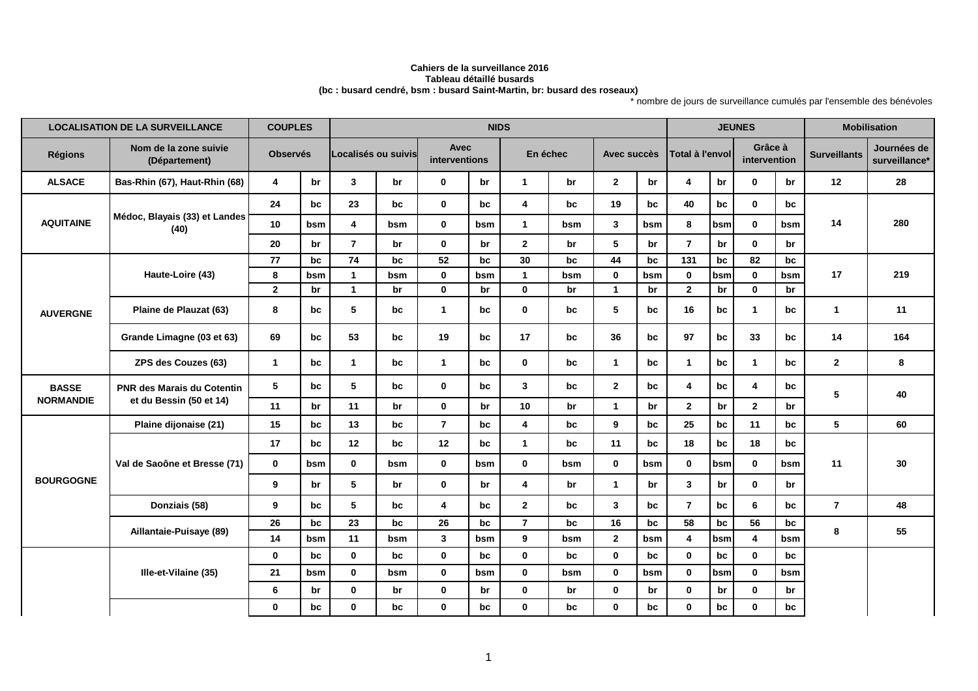## **Cahiers de la surveillance 2016 Tableau détaillé busards(bc : busard cendré, bsm : busard Saint-Martin, br: busard des roseaux)**

\* nombre de jours de surveillance cumulés par l'ensemble des bénévoles

|                  | <b>LOCALISATION DE LA SURVEILLANCE</b>                       | <b>COUPLES</b> |                 |                |                     |                | <b>NIDS</b>           |                |          |                      |             |                  |                 |                |                         |                     | <b>Mobilisation</b>          |
|------------------|--------------------------------------------------------------|----------------|-----------------|----------------|---------------------|----------------|-----------------------|----------------|----------|----------------------|-------------|------------------|-----------------|----------------|-------------------------|---------------------|------------------------------|
| <b>Régions</b>   | Nom de la zone suivie<br>(Département)                       |                | <b>Observés</b> |                | Localisés ou suivis |                | Avec<br>interventions |                | En échec |                      | Avec succès |                  | Total à l'envol |                | Grâce à<br>intervention | <b>Surveillants</b> | Journées de<br>surveillance* |
| <b>ALSACE</b>    | Bas-Rhin (67), Haut-Rhin (68)                                | $\overline{4}$ | br              | 3              | br                  | $\mathbf{0}$   | br                    | $\mathbf{1}$   | br       | $\mathbf{2}$         | br          | $\boldsymbol{4}$ | br              | $\mathbf 0$    | br                      | 12                  | 28                           |
|                  |                                                              | 24             | bc              | 23             | bc                  | $\mathbf 0$    | bc                    | 4              | bc       | 19                   | bc          | 40               | bc              | $\mathbf 0$    | bc                      | 14                  | 280                          |
| <b>AQUITAINE</b> | Médoc, Blayais (33) et Landes<br>(40)                        | 10             | bsm             | 4              | bsm                 | $\bf{0}$       | bsm                   | $\mathbf{1}$   | bsm      | 3                    | bsm         | 8                | bsm             | $\mathbf{0}$   | bsm                     |                     |                              |
|                  |                                                              | 20             | br              | $\overline{7}$ | br                  | $\mathbf{0}$   | br                    | $\mathbf{2}$   | br       | 5                    | br          | $\overline{7}$   | br              | $\mathbf{0}$   | br                      |                     |                              |
|                  |                                                              | 77             | bc              | 74             | bc                  | 52             | bc                    | 30             | bc       | 44                   | bc          | 131              | bc              | 82             | bc                      |                     |                              |
|                  | Haute-Loire (43)                                             | 8              | bsm             | $\mathbf{1}$   | bsm                 | $\bf{0}$       | bsm                   | $\mathbf{1}$   | bsm      | $\mathbf{0}$         | bsm         | $\mathbf{0}$     | bsm             | $\bf{0}$       | bsm                     | 17                  | 219                          |
|                  |                                                              | $\mathbf{2}$   | br              | $\overline{1}$ | br                  | $\mathbf 0$    | br                    | $\mathbf 0$    | br       | $\mathbf{1}$         | br          | $\mathbf{2}$     | br              | $\mathbf 0$    | br                      |                     |                              |
| <b>AUVERGNE</b>  | Plaine de Plauzat (63)                                       | 8              | bc              | 5              | bc                  | $\mathbf{1}$   | bc                    | $\mathbf 0$    | bc       | 5                    | bc          | 16               | bc              | $\mathbf{1}$   | bc                      | $\mathbf{1}$        | 11                           |
|                  | Grande Limagne (03 et 63)                                    | 69             | bc              | 53             | bc                  | 19             | bc                    | 17             | bc       | 36                   | bc          | 97               | bc              | 33             | bc                      | 14                  | 164                          |
|                  | ZPS des Couzes (63)                                          | $\mathbf{1}$   | bc              | $\mathbf{1}$   | bc                  | $\mathbf{1}$   | bc                    | $\mathbf{0}$   | bc       | $\mathbf{1}$         | bc          | -1               | bc              | $\mathbf{1}$   | bc                      | $\mathbf{2}$        | 8                            |
| <b>BASSE</b>     | <b>PNR des Marais du Cotentin</b><br>et du Bessin (50 et 14) | 5              | bc              | 5              | bc                  | $\mathbf 0$    | bc                    | $\mathbf{3}$   | bc       | $\mathbf{2}$         | bc          | 4                | bc              | $\overline{4}$ | bc                      | 5                   | 40                           |
| <b>NORMANDIE</b> |                                                              | 11             | br              | 11             | br                  | $\mathbf 0$    | br                    | 10             | br       | $\mathbf{1}$         | br          | $\mathbf{2}$     | br              | $\overline{2}$ | br                      |                     |                              |
|                  | Plaine dijonaise (21)                                        | 15             | bc              | 13             | bc                  | $\overline{7}$ | bc                    | 4              | bc       | 9                    | bc          | 25               | bc              | 11             | bc                      | 5                   | 60                           |
|                  |                                                              | 17             | bc              | 12             | bc                  | 12             | bc                    | $\mathbf{1}$   | bc       | 11                   | bc          | 18               | bc              | 18             | bc                      |                     |                              |
|                  | Val de Saoône et Bresse (71)                                 | $\mathbf 0$    | bsm             | $\mathbf{0}$   | bsm                 | $\mathbf{0}$   | bsm                   | $\mathbf{0}$   | bsm      | $\bf{0}$             | bsm         | $\bf{0}$         | bsm             | $\mathbf{0}$   | bsm                     | 11                  | 30                           |
| <b>BOURGOGNE</b> |                                                              | 9              | br              | 5              | br                  | $\mathbf{0}$   | br                    | 4              | br       | $\blacktriangleleft$ | br          | 3                | br              | $\mathbf 0$    | br                      |                     |                              |
|                  | Donziais (58)                                                | 9              | bc              | 5              | bc                  | 4              | bc                    | $\mathbf{2}$   | bc       | 3                    | bc          | $\overline{7}$   | bc              | 6              | bc                      | $\overline{7}$      | 48                           |
|                  |                                                              | 26             | bc              | 23             | bc                  | 26             | bc                    | $\overline{7}$ | bc       | 16                   | bc          | 58               | bc              | 56             | bc                      |                     |                              |
|                  | Aillantaie-Puisaye (89)                                      | 14             | bsm             | 11             | bsm                 | 3              | bsm                   | 9              | bsm      | $\mathbf{2}$         | bsm         | 4                | bsm             | 4              | bsm                     | 8                   | 55                           |
|                  |                                                              | $\mathbf{0}$   | bc              | $\mathbf{0}$   | bc                  | $\mathbf 0$    | bc                    | $\mathbf{0}$   | bc       | $\bf{0}$             | bc          | $\bf{0}$         | bc              | $\mathbf 0$    | bc                      |                     |                              |
|                  | Ille-et-Vilaine (35)                                         | 21             | bsm             | $\mathbf 0$    | bsm                 | $\mathbf 0$    | bsm                   | $\mathbf 0$    | bsm      | $\mathbf 0$          | bsm         | $\mathbf 0$      | bsm             | $\mathbf 0$    | bsm                     |                     |                              |
|                  |                                                              | 6              | br              | $\mathbf 0$    | br                  | $\mathbf 0$    | br                    | $\mathbf 0$    | br       | $\mathbf 0$          | br          | $\mathbf 0$      | br              | $\mathbf 0$    | br                      |                     |                              |
|                  |                                                              | $\mathbf{0}$   | bc              | $\mathbf{0}$   | bc                  | $\bf{0}$       | bc                    | $\bf{0}$       | bc       | $\mathbf{0}$         | bc          | $\mathbf 0$      | bc              | $\mathbf 0$    | bc                      |                     |                              |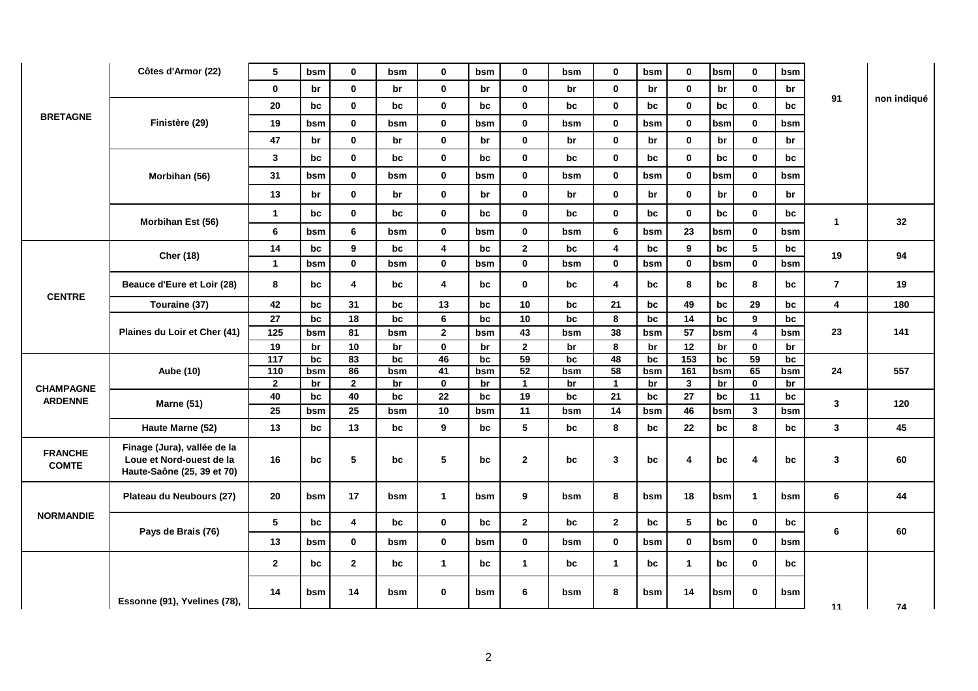|                                | Côtes d'Armor (22)                                                                    | 5                   | bsm       | 0                  | bsm       | 0                 | bsm       | 0                       | bsm       | $\mathbf 0$                     | bsm       | $\mathbf 0$             | bsm       | $\mathbf 0$       | bsm       |                         |             |
|--------------------------------|---------------------------------------------------------------------------------------|---------------------|-----------|--------------------|-----------|-------------------|-----------|-------------------------|-----------|---------------------------------|-----------|-------------------------|-----------|-------------------|-----------|-------------------------|-------------|
| <b>BRETAGNE</b>                |                                                                                       | $\mathbf 0$         | br        | 0                  | br        | $\mathbf 0$       | br        | 0                       | br        | $\mathbf 0$                     | br        | $\mathbf 0$             | br        | $\mathbf 0$       | br        |                         |             |
|                                |                                                                                       | 20                  | bc        | $\mathbf 0$        | bc        | $\bf{0}$          | bc        | $\mathbf 0$             | bc        | $\mathbf 0$                     | bc        | $\mathbf 0$             | bc        | $\mathbf 0$       | bc        | 91                      | non indiqué |
|                                | Finistère (29)                                                                        | 19                  | bsm       | $\mathbf 0$        | bsm       | $\mathbf 0$       | bsm       | $\mathbf 0$             | bsm       | $\mathbf 0$                     | bsm       | $\mathbf 0$             | bsm       | 0                 | bsm       |                         |             |
|                                |                                                                                       | 47                  | br        | $\mathbf 0$        | br        | $\mathbf 0$       | br        | $\mathbf 0$             | br        | $\mathbf 0$                     | br        | $\mathbf 0$             | br        | $\mathbf 0$       | br        |                         |             |
|                                |                                                                                       | 3                   | bc        | $\mathbf 0$        | bc        | $\mathbf 0$       | bc        | $\mathbf 0$             | bc        | $\mathbf 0$                     | bc        | $\mathbf 0$             | bc        | $\mathbf 0$       | bc        |                         |             |
|                                | Morbihan (56)                                                                         | 31                  | bsm       | $\mathbf 0$        | bsm       | $\mathbf 0$       | bsm       | $\mathbf 0$             | bsm       | $\mathbf 0$                     | bsm       | $\mathbf 0$             | bsm       | $\mathbf 0$       | bsm       |                         |             |
|                                |                                                                                       | 13                  | br        | $\mathbf 0$        | br        | $\bf{0}$          | br        | $\mathbf 0$             | br        | $\mathbf 0$                     | br        | $\mathbf 0$             | br        | 0                 | br        |                         |             |
|                                |                                                                                       | $\mathbf{1}$        | bc        | $\mathbf 0$        | bc        | $\mathbf 0$       | bc        | $\mathbf 0$             | bc        | $\mathbf 0$                     | bc        | $\mathbf 0$             | bc        | $\mathbf 0$       | bc        |                         |             |
|                                | Morbihan Est (56)                                                                     | 6                   | bsm       | 6                  | bsm       | $\mathbf 0$       | bsm       | $\mathbf 0$             | bsm       | 6                               | bsm       | 23                      | bsm       | $\mathbf 0$       | bsm       | $\mathbf{1}$            | 32          |
|                                |                                                                                       | 14                  | bc        | 9                  | bc        | 4                 | bc        | $\overline{\mathbf{2}}$ | bc        | $\overline{\mathbf{4}}$         | bc        | 9                       | bc        | 5                 | bc        |                         |             |
|                                | <b>Cher (18)</b>                                                                      | $\mathbf{1}$        | bsm       | $\mathbf 0$        | bsm       | $\mathbf 0$       | bsm       | $\mathbf 0$             | bsm       | $\mathbf 0$                     | bsm       | $\mathbf 0$             | bsm       | $\mathbf 0$       | bsm       | 19                      | 94          |
| <b>CENTRE</b>                  | Beauce d'Eure et Loir (28)                                                            | 8                   | bc        | 4                  | bc        | 4                 | bc        | 0                       | bc        | 4                               | bc        | 8                       | bc        | 8                 | bc        | $\overline{\mathbf{r}}$ | 19          |
|                                | Touraine (37)                                                                         | 42                  | bc        | 31                 | bc        | 13                | bc        | 10                      | bc        | 21                              | bc        | 49                      | bc        | 29                | bc        | 4                       | 180         |
|                                | Plaines du Loir et Cher (41)                                                          | 27                  | bc        | 18                 | bc        | $\bf 6$           | bc        | 10 <sup>1</sup>         | bc        | 8                               | bc        | 14                      | bc        | 9                 | bc        | 23                      |             |
|                                |                                                                                       | 125                 | bsm       | 81                 | bsm       | $\mathbf{2}$      | bsm       | 43                      | bsm       | 38                              | bsm       | 57                      | bsm       | 4                 | bsm       |                         | 141         |
|                                | <b>Aube (10)</b>                                                                      | 19                  | br        | 10                 | br        | $\mathbf 0$       | br        | $\overline{2}$          | br        | 8                               | br        | 12                      | br        | $\mathbf{0}$      | br        |                         |             |
|                                |                                                                                       | $\overline{117}$    | bc        | 83                 | bc        | 46                | bc        | 59                      | bc        | 48                              | bc        | 153                     | bc        | 59                | bc        |                         |             |
|                                |                                                                                       | 110<br>$\mathbf{2}$ | bsm<br>br | 86<br>$\mathbf{2}$ | bsm<br>br | 41<br>$\mathbf 0$ | bsm<br>br | 52<br>$\mathbf{1}$      | bsm<br>br | $\overline{58}$<br>$\mathbf{1}$ | bsm<br>br | 161<br>$\mathbf{3}$     | bsm<br>br | 65<br>$\mathbf 0$ | bsm<br>br | 24                      | 557         |
| <b>CHAMPAGNE</b>               | <b>Marne (51)</b>                                                                     | 40                  | bc        | 40                 | bc        | 22                | bc        | 19                      | bc        | 21                              | bc        | 27                      | bc        | 11                | bc        |                         |             |
| <b>ARDENNE</b>                 |                                                                                       | 25                  | bsm       | 25                 | bsm       | 10                | bsm       | 11                      | bsm       | 14                              | bsm       | 46                      | bsm       | $\mathbf{3}$      | bsm       | 3                       | 120         |
|                                | Haute Marne (52)                                                                      | 13                  | bc        | 13                 | bc        | 9                 | bc        | 5                       | bc        | 8                               | bc        | 22                      | bc        | 8                 | bc        | $\mathbf{3}$            | 45          |
| <b>FRANCHE</b><br><b>COMTE</b> | Finage (Jura), vallée de la<br>Loue et Nord-ouest de la<br>Haute-Saône (25, 39 et 70) | 16                  | bc        | 5                  | bc        | 5                 | bc        | $\mathbf{2}$            | bc        | 3                               | bc        | $\overline{\mathbf{4}}$ | bc        | 4                 | bc        | 3                       | 60          |
|                                | Plateau du Neubours (27)                                                              | 20                  | bsm       | 17                 | bsm       | $\mathbf{1}$      | bsm       | 9                       | bsm       | 8                               | bsm       | 18                      | bsm       | $\mathbf{1}$      | bsm       | 6                       | 44          |
| <b>NORMANDIE</b>               |                                                                                       | 5                   | bc        | 4                  | bc        | $\mathbf 0$       | bc        | $\mathbf{2}$            | bc        | $\overline{2}$                  | bc        | 5                       | bc        | $\mathbf 0$       | bc        |                         |             |
|                                | Pays de Brais (76)                                                                    | 13                  | bsm       | $\mathbf 0$        | bsm       | $\mathbf 0$       | bsm       | $\mathbf 0$             | bsm       | $\mathbf 0$                     | bsm       | $\mathbf 0$             | bsm       | $\mathbf 0$       | bsm       | 6                       | 60          |
|                                |                                                                                       | $\mathbf{2}$        | bc        | $\mathbf{2}$       | bc        | $\mathbf{1}$      | bc        | $\mathbf{1}$            | bc        | $\mathbf{1}$                    | bc        | $\mathbf{1}$            | bc        | $\mathbf{0}$      | bc        |                         |             |
|                                | Essonne (91), Yvelines (78),                                                          | 14                  | bsm       | 14                 | bsm       | $\bf{0}$          | bsm       | 6                       | bsm       | 8                               | bsm       | 14                      | bsm       | 0                 | bsm       | 11                      | 74          |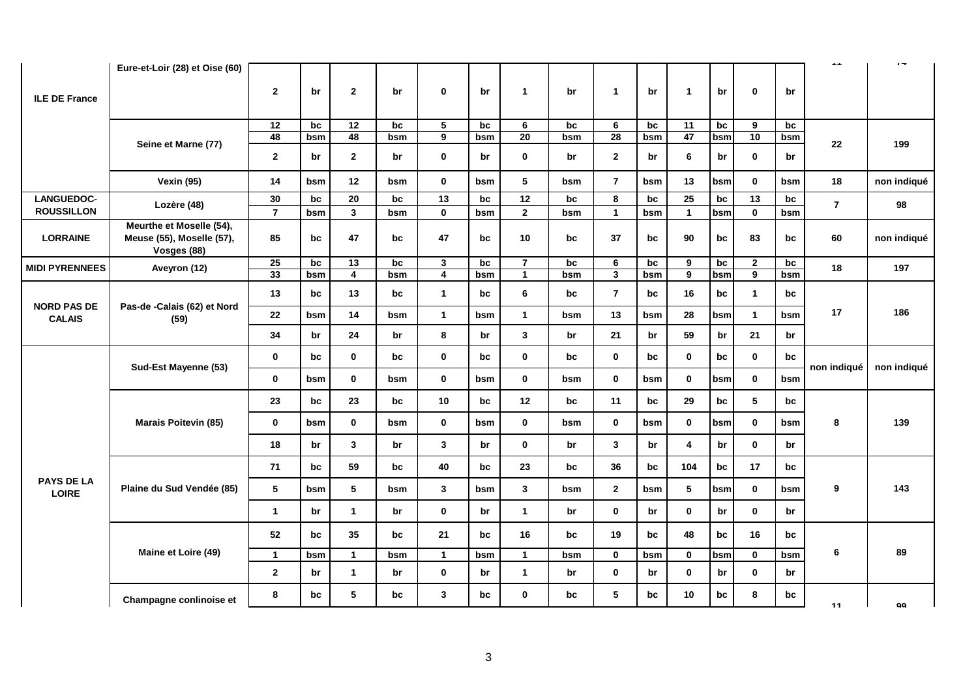|                                     | Eure-et-Loir (28) et Oise (60)                                       |                 |     |                 |     |                  |     |                 |     |                         |     |                 |     |                 |     | $\sim$         | $\epsilon \rightarrow$ |
|-------------------------------------|----------------------------------------------------------------------|-----------------|-----|-----------------|-----|------------------|-----|-----------------|-----|-------------------------|-----|-----------------|-----|-----------------|-----|----------------|------------------------|
| <b>ILE DE France</b>                |                                                                      | $\overline{2}$  | br  | $\mathbf{2}$    | br  | $\bf{0}$         | br  | $\mathbf{1}$    | br  | $\mathbf{1}$            | br  | $\mathbf{1}$    | br  | 0               | br  |                |                        |
|                                     |                                                                      | $\overline{12}$ | bc  | $\overline{12}$ | bc  | $\overline{5}$   | bc  | 6               | bc  | 6                       | bc  | $\overline{11}$ | bc  | 9               | bc  |                |                        |
|                                     | Seine et Marne (77)                                                  | 48              | bsm | 48              | bsm | $\boldsymbol{9}$ | bsm | 20              | bsm | $\overline{28}$         | bsm | 47              | bsm | 10              | bsm | 22             |                        |
|                                     |                                                                      | $\mathbf{2}$    | br  | $\mathbf{2}$    | br  | $\mathbf 0$      | br  | $\mathbf{0}$    | br  | $\overline{2}$          | br  | 6               | br  | $\mathbf 0$     | br  |                | 199                    |
|                                     | <b>Vexin (95)</b>                                                    | 14              | bsm | 12              | bsm | $\mathbf 0$      | bsm | 5               | bsm | $\overline{7}$          | bsm | 13              | bsm | $\mathbf 0$     | bsm | 18             | non indiqué            |
| LANGUEDOC-                          | Lozère (48)                                                          | 30              | bc  | 20              | bc  | $\overline{13}$  | bc  | $\overline{12}$ | bc  | 8                       | bc  | 25              | bc  | $\overline{13}$ | bc  | $\overline{7}$ | 98                     |
| <b>ROUSSILLON</b>                   |                                                                      | $\overline{7}$  | bsm | 3               | bsm | $\mathbf 0$      | bsm | $\mathbf{2}$    | bsm | $\mathbf{1}$            | bsm | $\mathbf{1}$    | bsm | $\mathbf{0}$    | bsm |                |                        |
| <b>LORRAINE</b>                     | Meurthe et Moselle (54),<br>Meuse (55), Moselle (57),<br>Vosges (88) | 85              | bc  | 47              | bc  | 47               | bc  | 10              | bc  | 37                      | bc  | 90              | bc  | 83              | bc  | 60             | non indiqué            |
| <b>MIDI PYRENNEES</b>               | Aveyron (12)                                                         | 25              | bc  | 13              | bc  | $\mathbf{3}$     | bc  | $\overline{7}$  | bc  | 6                       | bc  | 9               | bc  | $\mathbf{2}$    | bc  | 18             | 197                    |
|                                     |                                                                      | 33              | bsm | 4               | bsm | $\overline{4}$   | bsm | $\mathbf{1}$    | bsm | $\overline{\mathbf{3}}$ | bsm | $\overline{9}$  | bsm | $\overline{9}$  | bsm |                |                        |
| <b>NORD PAS DE</b><br><b>CALAIS</b> | Pas-de -Calais (62) et Nord<br>(59)                                  | 13              | bc  | 13              | bc  | $\mathbf{1}$     | bc  | 6               | bc  | $\overline{7}$          | bc  | 16              | bc  | $\mathbf{1}$    | bc  | 17             |                        |
|                                     |                                                                      | 22              | bsm | 14              | bsm | $\mathbf{1}$     | bsm | $\mathbf{1}$    | bsm | 13                      | bsm | 28              | bsm | $\mathbf 1$     | bsm |                | 186                    |
|                                     |                                                                      | 34              | br  | 24              | br  | 8                | br  | $\mathbf{3}$    | br  | 21                      | br  | 59              | br  | 21              | br  |                |                        |
|                                     | Sud-Est Mayenne (53)                                                 | $\mathbf{0}$    | bc  | $\mathbf{0}$    | bc  | $\mathbf 0$      | bc  | $\mathbf 0$     | bc  | $\mathbf 0$             | bc  | $\mathbf 0$     | bc  | $\mathbf 0$     | bc  | non indiqué    | non indiqué            |
|                                     |                                                                      | $\mathbf 0$     | bsm | $\mathbf 0$     | bsm | $\mathbf 0$      | bsm | $\mathbf 0$     | bsm | $\mathbf 0$             | bsm | $\mathbf 0$     | bsm | $\mathbf 0$     | bsm |                |                        |
|                                     |                                                                      | 23              | bc  | 23              | bc  | 10               | bc  | 12              | bc  | 11                      | bc  | 29              | bc  | $5\phantom{.0}$ | bc  |                |                        |
|                                     | <b>Marais Poitevin (85)</b>                                          | $\mathbf 0$     | bsm | $\mathbf 0$     | bsm | $\mathbf 0$      | bsm | $\mathbf 0$     | bsm | $\mathbf{0}$            | bsm | $\mathbf 0$     | bsm | $\mathbf 0$     | bsm | 8              | 139                    |
|                                     |                                                                      | 18              | br  | $\mathbf{3}$    | br  | $\mathbf{3}$     | br  | $\mathbf 0$     | br  | $\mathbf{3}$            | br  | 4               | br  | $\mathbf 0$     | br  |                |                        |
| <b>PAYS DE LA</b>                   |                                                                      | 71              | bc  | 59              | bc  | 40               | bc  | 23              | bc  | 36                      | bc  | 104             | bc  | 17              | bc  |                |                        |
| <b>LOIRE</b>                        | Plaine du Sud Vendée (85)                                            | 5               | bsm | 5               | bsm | $\mathbf{3}$     | bsm | $\mathbf{3}$    | bsm | $\overline{2}$          | bsm | 5               | bsm | $\mathbf 0$     | bsm | 9              | 143                    |
|                                     |                                                                      | $\mathbf{1}$    | br  | $\mathbf{1}$    | br  | $\mathbf 0$      | br  | $\mathbf{1}$    | br  | $\mathbf 0$             | br  | $\mathbf 0$     | br  | $\mathbf 0$     | br  |                |                        |
|                                     |                                                                      | 52              | bc  | 35              | bc  | 21               | bc  | 16              | bc  | 19                      | bc  | 48              | bc  | 16              | bc  |                |                        |
|                                     | Maine et Loire (49)                                                  | $\mathbf{1}$    | bsm | $\mathbf{1}$    | bsm | $\mathbf{1}$     | bsm | $\mathbf{1}$    | bsm | $\mathbf{0}$            | bsm | $\mathbf{0}$    | bsm | $\bf{0}$        | bsm | 6              | 89                     |
|                                     |                                                                      | $\overline{2}$  | br  | $\mathbf{1}$    | br  | $\mathbf 0$      | br  | $\mathbf{1}$    | br  | $\mathbf 0$             | br  | $\mathbf 0$     | br  | $\mathbf 0$     | br  |                |                        |
|                                     | Champagne conlinoise et                                              | 8               | bc  | 5               | bc  | $\mathbf{3}$     | bc  | $\mathbf 0$     | bc  | 5                       | bc  | 10              | bc  | 8               | bc  | 11             | qq                     |